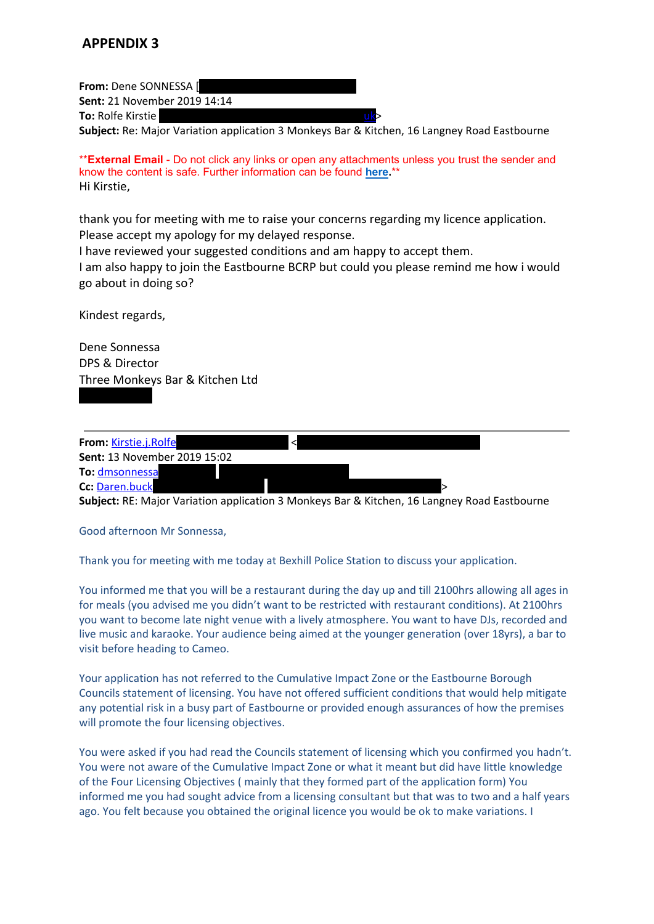# **APPENDIX 3**

**From:** Dene SONNESSA [

**Sent:** 21 November 2019 14:14

**To:** Rolfe Kirstie

**Subject:** Re: Major Variation application 3 Monkeys Bar & Kitchen, 16 Langney Road Eastbourne

\*\***External Email** - Do not click any links or open any attachments unless you trust the sender and know the content is safe. Further information can be found **[here.](http://jointintranet.shdc.police.uk/OurForces/Teams/ICT/Pages/sussex-20190513-spam-emails.aspx)**\*\* Hi Kirstie,

thank you for meeting with me to raise your concerns regarding my licence application. Please accept my apology for my delayed response.

I have reviewed your suggested conditions and am happy to accept them.

I am also happy to join the Eastbourne BCRP but could you please remind me how i would go about in doing so?

Kindest regards,

Dene Sonnessa DPS & Director Three Monkeys Bar & Kitchen Ltd



**Subject:** RE: Major Variation application 3 Monkeys Bar & Kitchen, 16 Langney Road Eastbourne

Good afternoon Mr Sonnessa,

Thank you for meeting with me today at Bexhill Police Station to discuss your application.

You informed me that you will be a restaurant during the day up and till 2100hrs allowing all ages in for meals (you advised me you didn't want to be restricted with restaurant conditions). At 2100hrs you want to become late night venue with a lively atmosphere. You want to have DJs, recorded and live music and karaoke. Your audience being aimed at the younger generation (over 18yrs), a bar to visit before heading to Cameo.

Your application has not referred to the Cumulative Impact Zone or the Eastbourne Borough Councils statement of licensing. You have not offered sufficient conditions that would help mitigate any potential risk in a busy part of Eastbourne or provided enough assurances of how the premises will promote the four licensing objectives.

You were asked if you had read the Councils statement of licensing which you confirmed you hadn't. You were not aware of the Cumulative Impact Zone or what it meant but did have little knowledge of the Four Licensing Objectives ( mainly that they formed part of the application form) You informed me you had sought advice from a licensing consultant but that was to two and a half years ago. You felt because you obtained the original licence you would be ok to make variations. I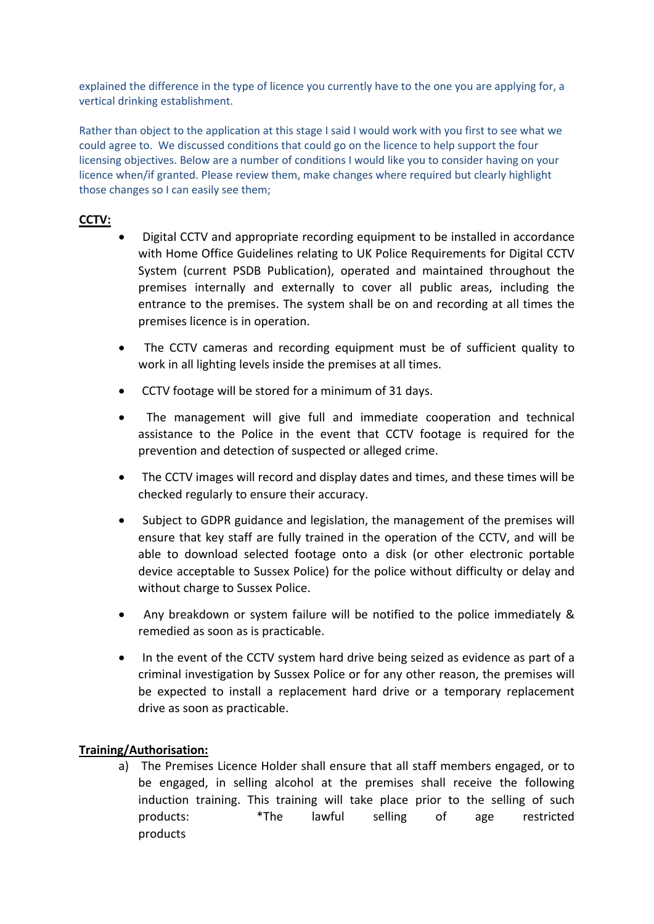explained the difference in the type of licence you currently have to the one you are applying for, a vertical drinking establishment.

Rather than object to the application at this stage I said I would work with you first to see what we could agree to. We discussed conditions that could go on the licence to help support the four licensing objectives. Below are a number of conditions I would like you to consider having on your licence when/if granted. Please review them, make changes where required but clearly highlight those changes so I can easily see them;

# **CCTV:**

- Digital CCTV and appropriate recording equipment to be installed in accordance with Home Office Guidelines relating to UK Police Requirements for Digital CCTV System (current PSDB Publication), operated and maintained throughout the premises internally and externally to cover all public areas, including the entrance to the premises. The system shall be on and recording at all times the premises licence is in operation.
- The CCTV cameras and recording equipment must be of sufficient quality to work in all lighting levels inside the premises at all times.
- CCTV footage will be stored for a minimum of 31 days.
- The management will give full and immediate cooperation and technical assistance to the Police in the event that CCTV footage is required for the prevention and detection of suspected or alleged crime.
- The CCTV images will record and display dates and times, and these times will be checked regularly to ensure their accuracy.
- Subject to GDPR guidance and legislation, the management of the premises will ensure that key staff are fully trained in the operation of the CCTV, and will be able to download selected footage onto a disk (or other electronic portable device acceptable to Sussex Police) for the police without difficulty or delay and without charge to Sussex Police.
- Any breakdown or system failure will be notified to the police immediately & remedied as soon as is practicable.
- In the event of the CCTV system hard drive being seized as evidence as part of a criminal investigation by Sussex Police or for any other reason, the premises will be expected to install a replacement hard drive or a temporary replacement drive as soon as practicable.

## **Training/Authorisation:**

a) The Premises Licence Holder shall ensure that all staff members engaged, or to be engaged, in selling alcohol at the premises shall receive the following induction training. This training will take place prior to the selling of such products: \*The lawful selling of age restricted products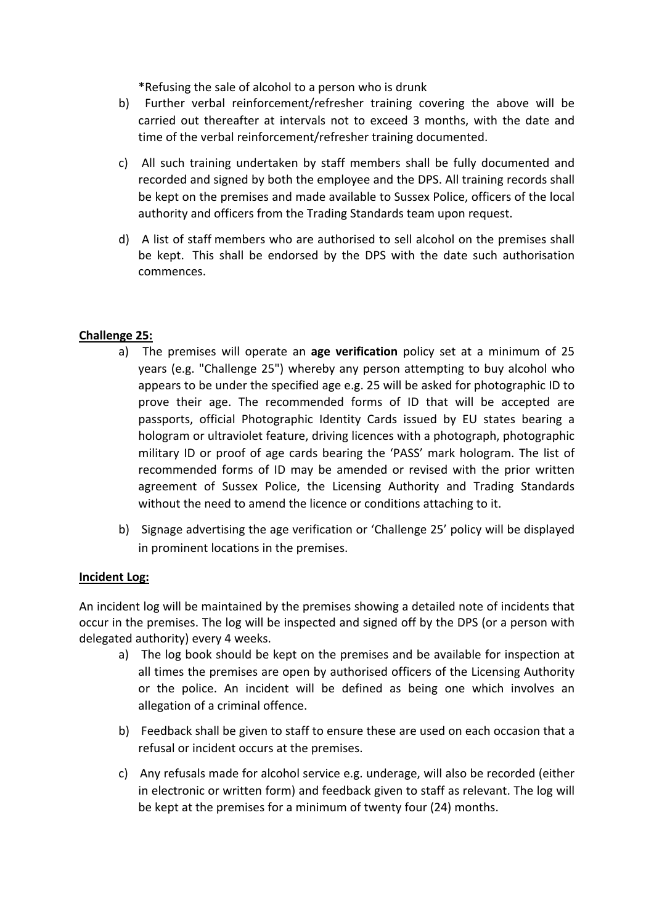\*Refusing the sale of alcohol to a person who is drunk

- b) Further verbal reinforcement/refresher training covering the above will be carried out thereafter at intervals not to exceed 3 months, with the date and time of the verbal reinforcement/refresher training documented.
- c) All such training undertaken by staff members shall be fully documented and recorded and signed by both the employee and the DPS. All training records shall be kept on the premises and made available to Sussex Police, officers of the local authority and officers from the Trading Standards team upon request.
- d) A list of staff members who are authorised to sell alcohol on the premises shall be kept. This shall be endorsed by the DPS with the date such authorisation commences.

### **Challenge 25:**

- a) The premises will operate an **age verification** policy set at a minimum of 25 years (e.g. "Challenge 25") whereby any person attempting to buy alcohol who appears to be under the specified age e.g. 25 will be asked for photographic ID to prove their age. The recommended forms of ID that will be accepted are passports, official Photographic Identity Cards issued by EU states bearing a hologram or ultraviolet feature, driving licences with a photograph, photographic military ID or proof of age cards bearing the 'PASS' mark hologram. The list of recommended forms of ID may be amended or revised with the prior written agreement of Sussex Police, the Licensing Authority and Trading Standards without the need to amend the licence or conditions attaching to it.
- b) Signage advertising the age verification or 'Challenge 25' policy will be displayed in prominent locations in the premises.

#### **Incident Log:**

An incident log will be maintained by the premises showing a detailed note of incidents that occur in the premises. The log will be inspected and signed off by the DPS (or a person with delegated authority) every 4 weeks.

- a) The log book should be kept on the premises and be available for inspection at all times the premises are open by authorised officers of the Licensing Authority or the police. An incident will be defined as being one which involves an allegation of a criminal offence.
- b) Feedback shall be given to staff to ensure these are used on each occasion that a refusal or incident occurs at the premises.
- c) Any refusals made for alcohol service e.g. underage, will also be recorded (either in electronic or written form) and feedback given to staff as relevant. The log will be kept at the premises for a minimum of twenty four (24) months.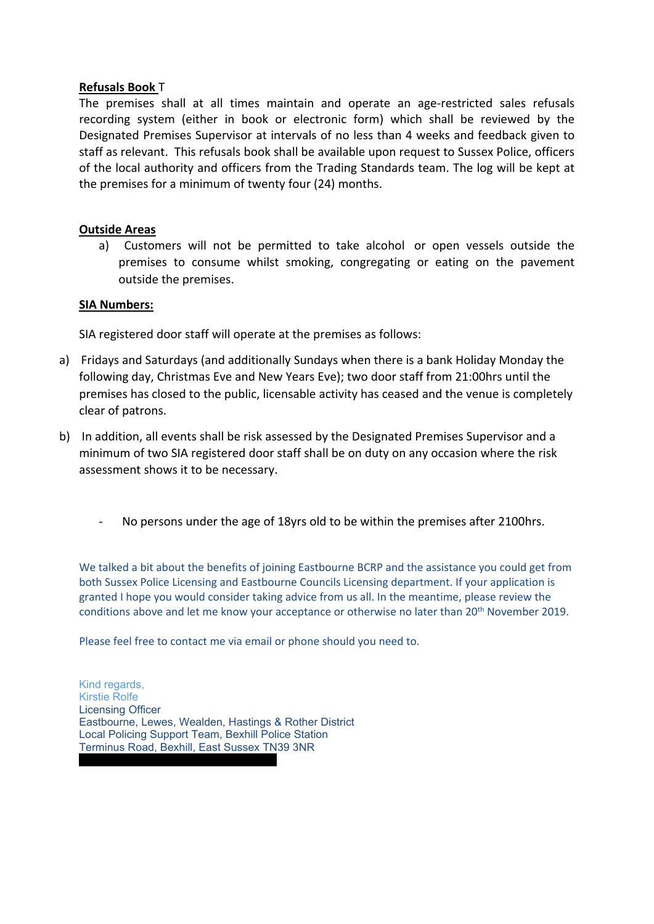#### **Refusals Book** T

The premises shall at all times maintain and operate an age-restricted sales refusals recording system (either in book or electronic form) which shall be reviewed by the Designated Premises Supervisor at intervals of no less than 4 weeks and feedback given to staff as relevant. This refusals book shall be available upon request to Sussex Police, officers of the local authority and officers from the Trading Standards team. The log will be kept at the premises for a minimum of twenty four (24) months.

### **Outside Areas**

a) Customers will not be permitted to take alcohol or open vessels outside the premises to consume whilst smoking, congregating or eating on the pavement outside the premises.

#### **SIA Numbers:**

SIA registered door staff will operate at the premises as follows:

- a) Fridays and Saturdays (and additionally Sundays when there is a bank Holiday Monday the following day, Christmas Eve and New Years Eve); two door staff from 21:00hrs until the premises has closed to the public, licensable activity has ceased and the venue is completely clear of patrons.
- b) In addition, all events shall be risk assessed by the Designated Premises Supervisor and a minimum of two SIA registered door staff shall be on duty on any occasion where the risk assessment shows it to be necessary.
	- No persons under the age of 18yrs old to be within the premises after 2100hrs.

We talked a bit about the benefits of joining Eastbourne BCRP and the assistance you could get from both Sussex Police Licensing and Eastbourne Councils Licensing department. If your application is granted I hope you would consider taking advice from us all. In the meantime, please review the conditions above and let me know your acceptance or otherwise no later than 20<sup>th</sup> November 2019.

Please feel free to contact me via email or phone should you need to.

Kind regards, Kirstie Rolfe Licensing Officer Eastbourne, Lewes, Wealden, Hastings & Rother District Local Policing Support Team, Bexhill Police Station Terminus Road, Bexhill, East Sussex TN39 3NR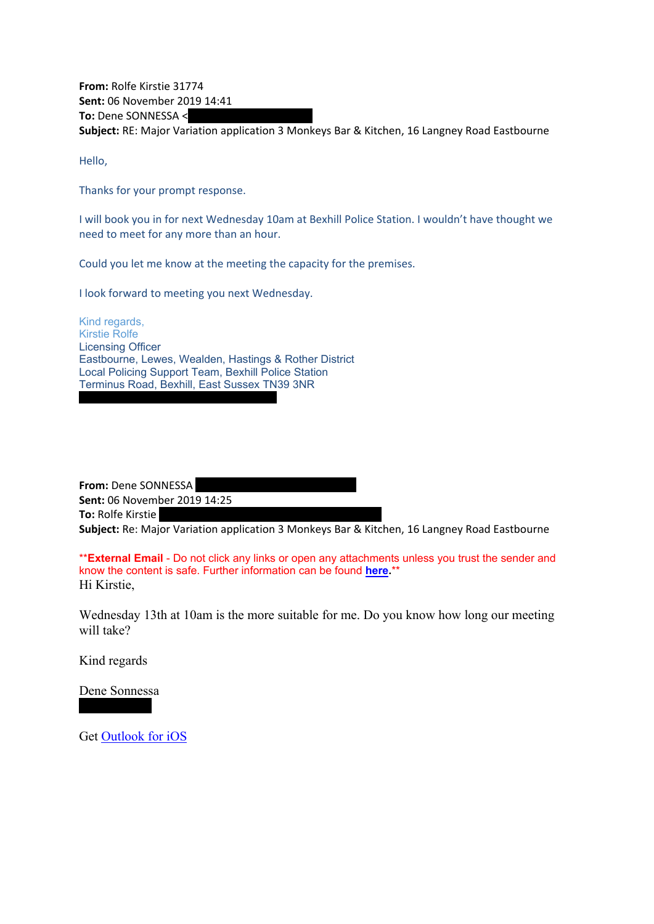**From:** Rolfe Kirstie 31774 **Sent:** 06 November 2019 14:41 **To:** Dene SONNESSA < **Subject:** RE: Major Variation application 3 Monkeys Bar & Kitchen, 16 Langney Road Eastbourne

Hello,

Thanks for your prompt response.

I will book you in for next Wednesday 10am at Bexhill Police Station. I wouldn't have thought we need to meet for any more than an hour.

Could you let me know at the meeting the capacity for the premises.

I look forward to meeting you next Wednesday.

Kind regards, Kirstie Rolfe Licensing Officer Eastbourne, Lewes, Wealden, Hastings & Rother District Local Policing Support Team, Bexhill Police Station Terminus Road, Bexhill, East Sussex TN39 3NR

**From:** Dene SONNESSA **Sent:** 06 November 2019 14:25 **To:** Rolfe Kirstie

**Subject:** Re: Major Variation application 3 Monkeys Bar & Kitchen, 16 Langney Road Eastbourne

\*\***External Email** - Do not click any links or open any attachments unless you trust the sender and know the content is safe. Further information can be found **[here.](http://jointintranet.shdc.police.uk/OurForces/Teams/ICT/Pages/sussex-20190513-spam-emails.aspx)**\*\* Hi Kirstie,

Wednesday 13th at 10am is the more suitable for me. Do you know how long our meeting will take?

Kind regards

Dene Sonnessa

Get [Outlook](https://scanmail.trustwave.com/?c=11436&d=spvW3ZDVVKz_-TRDINGho_8CFEfP8wQM6y38aIEUbA&u=https:%2f%2faka.ms%2fo0ukef) for iOS